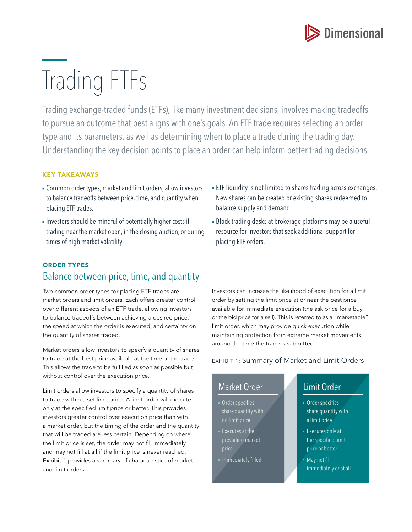

# Trading ETFs

Trading exchange-traded funds (ETFs), like many investment decisions, involves making tradeoffs to pursue an outcome that best aligns with one's goals. An ETF trade requires selecting an order type and its parameters, as well as determining when to place a trade during the trading day. Understanding the key decision points to place an order can help inform better trading decisions.

#### KEY TAKEAWAYS

- **Common order types, market and limit orders, allow investors** to balance tradeoffs between price, time, and quantity when placing ETF trades.
- **-** Investors should be mindful of potentially higher costs if trading near the market open, in the closing auction, or during times of high market volatility.

# ORDER TYPES Balance between price, time, and quantity

Two common order types for placing ETF trades are market orders and limit orders. Each offers greater control over different aspects of an ETF trade, allowing investors to balance tradeoffs between achieving a desired price, the speed at which the order is executed, and certainty on the quantity of shares traded.

Market orders allow investors to specify a quantity of shares to trade at the best price available at the time of the trade. This allows the trade to be fulfilled as soon as possible but without control over the execution price.

Limit orders allow investors to specify a quantity of shares to trade within a set limit price. A limit order will execute only at the specified limit price or better. This provides investors greater control over execution price than with a market order, but the timing of the order and the quantity that will be traded are less certain. Depending on where the limit price is set, the order may not fill immediately and may not fill at all if the limit price is never reached. Exhibit 1 provides a summary of characteristics of market and limit orders.

- **ETF liquidity is not limited to shares trading across exchanges.** New shares can be created or existing shares redeemed to balance supply and demand.
- **Block trading desks at brokerage platforms may be a useful** resource for investors that seek additional support for placing ETF orders.

Investors can increase the likelihood of execution for a limit order by setting the limit price at or near the best price available for immediate execution (the ask price for a buy or the bid price for a sell). This is referred to as a "marketable" limit order, which may provide quick execution while maintaining protection from extreme market movements around the time the trade is submitted.

EXHIBIT 1: Summary of Market and Limit Orders

## Market Order

- Order specifies share quantity with no limit price
- Executes at the prevailing market
- Immediately filled

# Limit Order

- Order specifies share quantity with a limit price
- Executes only at the specified limit price or better
- May not fill immediately or at all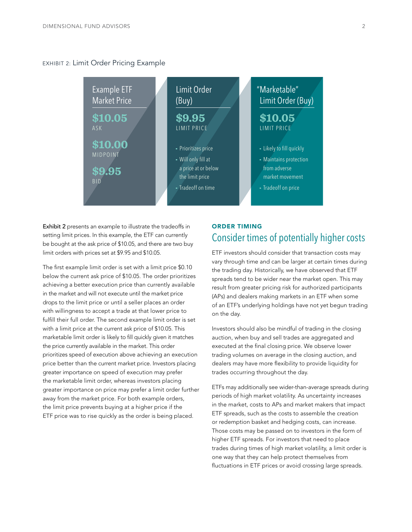#### EXHIBIT 2: Limit Order Pricing Example



Exhibit 2 presents an example to illustrate the tradeoffs in setting limit prices. In this example, the ETF can currently be bought at the ask price of \$10.05, and there are two buy limit orders with prices set at \$9.95 and \$10.05.

The first example limit order is set with a limit price \$0.10 below the current ask price of \$10.05. The order prioritizes achieving a better execution price than currently available in the market and will not execute until the market price drops to the limit price or until a seller places an order with willingness to accept a trade at that lower price to fulfill their full order. The second example limit order is set with a limit price at the current ask price of \$10.05. This marketable limit order is likely to fill quickly given it matches the price currently available in the market. This order prioritizes speed of execution above achieving an execution price better than the current market price. Investors placing greater importance on speed of execution may prefer the marketable limit order, whereas investors placing greater importance on price may prefer a limit order further away from the market price. For both example orders, the limit price prevents buying at a higher price if the ETF price was to rise quickly as the order is being placed.

## ORDER TIMING Consider times of potentially higher costs

ETF investors should consider that transaction costs may vary through time and can be larger at certain times during the trading day. Historically, we have observed that ETF spreads tend to be wider near the market open. This may result from greater pricing risk for authorized participants (APs) and dealers making markets in an ETF when some of an ETF's underlying holdings have not yet begun trading on the day.

Investors should also be mindful of trading in the closing auction, when buy and sell trades are aggregated and executed at the final closing price. We observe lower trading volumes on average in the closing auction, and dealers may have more flexibility to provide liquidity for trades occurring throughout the day.

ETFs may additionally see wider-than-average spreads during periods of high market volatility. As uncertainty increases in the market, costs to APs and market makers that impact ETF spreads, such as the costs to assemble the creation or redemption basket and hedging costs, can increase. Those costs may be passed on to investors in the form of higher ETF spreads. For investors that need to place trades during times of high market volatility, a limit order is one way that they can help protect themselves from fluctuations in ETF prices or avoid crossing large spreads.